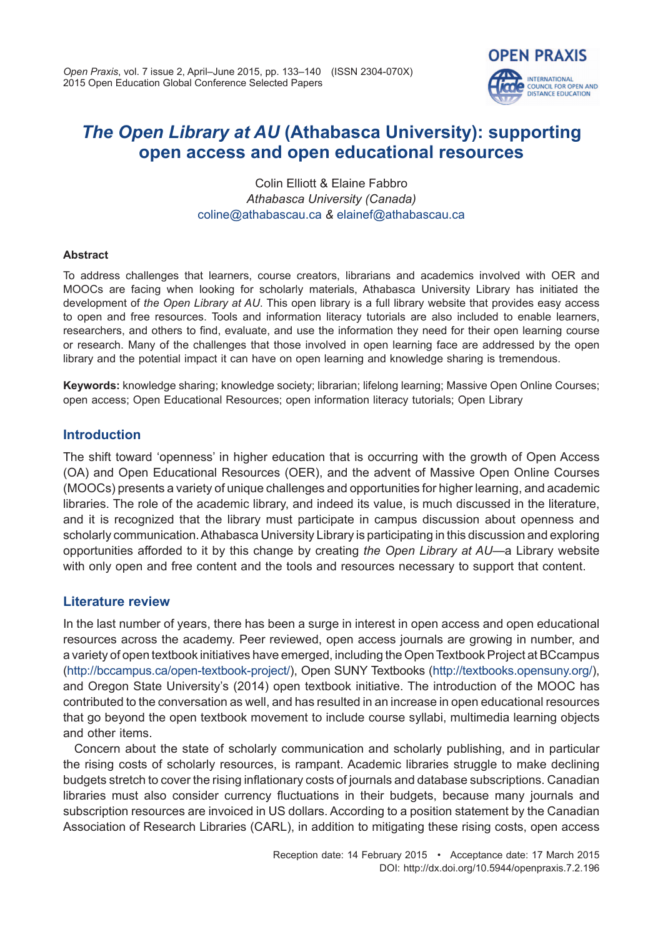**OPEN PRAXIS** 

**INTERNATIONAL COUNCIL FOR OPEN AND** DISTANCE EDUCATION

Colin Elliott & Elaine Fabbro *Athabasca University (Canada)* [coline@athabascau.ca](mailto:coline@athabascau.ca) *&* [elainef@athabascau.ca](mailto:elainef@athabascau.ca)

#### **Abstract**

To address challenges that learners, course creators, librarians and academics involved with OER and MOOCs are facing when looking for scholarly materials, Athabasca University Library has initiated the development of *the Open Library at AU*. This open library is a full library website that provides easy access to open and free resources. Tools and information literacy tutorials are also included to enable learners, researchers, and others to find, evaluate, and use the information they need for their open learning course or research. Many of the challenges that those involved in open learning face are addressed by the open library and the potential impact it can have on open learning and knowledge sharing is tremendous.

**Keywords:** knowledge sharing; knowledge society; librarian; lifelong learning; Massive Open Online Courses; open access; Open Educational Resources; open information literacy tutorials; Open Library

## **Introduction**

The shift toward 'openness' in higher education that is occurring with the growth of Open Access (OA) and Open Educational Resources (OER), and the advent of Massive Open Online Courses (MOOCs) presents a variety of unique challenges and opportunities for higher learning, and academic libraries. The role of the academic library, and indeed its value, is much discussed in the literature, and it is recognized that the library must participate in campus discussion about openness and scholarly communication. Athabasca University Library is participating in this discussion and exploring opportunities afforded to it by this change by creating *the Open Library at AU*—a Library website with only open and free content and the tools and resources necessary to support that content.

#### **Literature review**

In the last number of years, there has been a surge in interest in open access and open educational resources across the academy. Peer reviewed, open access journals are growing in number, and a variety of open textbook initiatives have emerged, including the Open Textbook Project at BCcampus [\(http://bccampus.ca/open-textbook-project/\)](http://bccampus.ca/open-textbook-project/), Open SUNY Textbooks ([http://textbooks.opensuny.org/\)](http://textbooks.opensuny.org/), and Oregon State University's (2014) open textbook initiative. The introduction of the MOOC has contributed to the conversation as well, and has resulted in an increase in open educational resources that go beyond the open textbook movement to include course syllabi, multimedia learning objects and other items.

Concern about the state of scholarly communication and scholarly publishing, and in particular the rising costs of scholarly resources, is rampant. Academic libraries struggle to make declining budgets stretch to cover the rising inflationary costs of journals and database subscriptions. Canadian libraries must also consider currency fluctuations in their budgets, because many journals and subscription resources are invoiced in US dollars. According to a position statement by the Canadian Association of Research Libraries (CARL), in addition to mitigating these rising costs, open access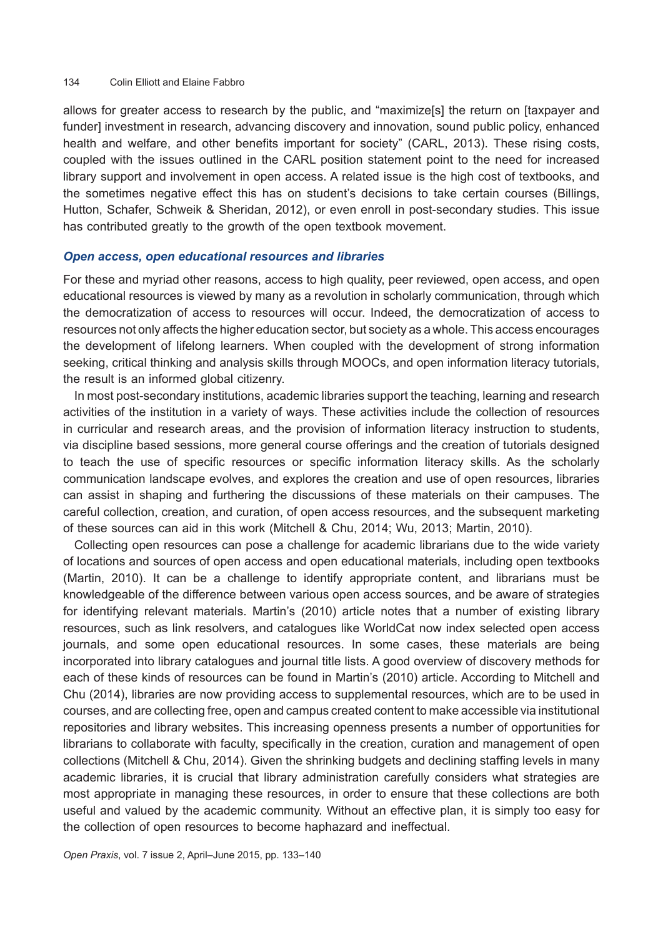allows for greater access to research by the public, and "maximize[s] the return on [taxpayer and funder] investment in research, advancing discovery and innovation, sound public policy, enhanced health and welfare, and other benefits important for society" (CARL, 2013). These rising costs, coupled with the issues outlined in the CARL position statement point to the need for increased library support and involvement in open access. A related issue is the high cost of textbooks, and the sometimes negative effect this has on student's decisions to take certain courses (Billings, Hutton, Schafer, Schweik & Sheridan, 2012), or even enroll in post-secondary studies. This issue has contributed greatly to the growth of the open textbook movement.

#### *Open access, open educational resources and libraries*

For these and myriad other reasons, access to high quality, peer reviewed, open access, and open educational resources is viewed by many as a revolution in scholarly communication, through which the democratization of access to resources will occur. Indeed, the democratization of access to resources not only affects the higher education sector, but society as a whole. This access encourages the development of lifelong learners. When coupled with the development of strong information seeking, critical thinking and analysis skills through MOOCs, and open information literacy tutorials, the result is an informed global citizenry.

In most post-secondary institutions, academic libraries support the teaching, learning and research activities of the institution in a variety of ways. These activities include the collection of resources in curricular and research areas, and the provision of information literacy instruction to students, via discipline based sessions, more general course offerings and the creation of tutorials designed to teach the use of specific resources or specific information literacy skills. As the scholarly communication landscape evolves, and explores the creation and use of open resources, libraries can assist in shaping and furthering the discussions of these materials on their campuses. The careful collection, creation, and curation, of open access resources, and the subsequent marketing of these sources can aid in this work (Mitchell & Chu, 2014; Wu, 2013; Martin, 2010).

Collecting open resources can pose a challenge for academic librarians due to the wide variety of locations and sources of open access and open educational materials, including open textbooks (Martin, 2010). It can be a challenge to identify appropriate content, and librarians must be knowledgeable of the difference between various open access sources, and be aware of strategies for identifying relevant materials. Martin's (2010) article notes that a number of existing library resources, such as link resolvers, and catalogues like WorldCat now index selected open access journals, and some open educational resources. In some cases, these materials are being incorporated into library catalogues and journal title lists. A good overview of discovery methods for each of these kinds of resources can be found in Martin's (2010) article. According to Mitchell and Chu (2014), libraries are now providing access to supplemental resources, which are to be used in courses, and are collecting free, open and campus created content to make accessible via institutional repositories and library websites. This increasing openness presents a number of opportunities for librarians to collaborate with faculty, specifically in the creation, curation and management of open collections (Mitchell & Chu, 2014). Given the shrinking budgets and declining staffing levels in many academic libraries, it is crucial that library administration carefully considers what strategies are most appropriate in managing these resources, in order to ensure that these collections are both useful and valued by the academic community. Without an effective plan, it is simply too easy for the collection of open resources to become haphazard and ineffectual.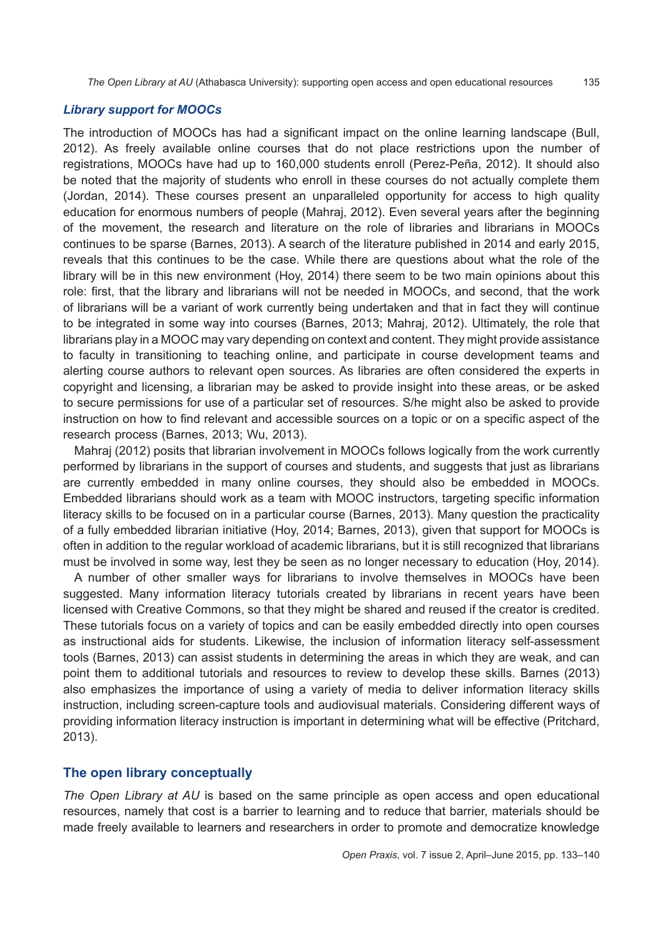#### *Library support for MOOCs*

The introduction of MOOCs has had a significant impact on the online learning landscape (Bull, 2012). As freely available online courses that do not place restrictions upon the number of registrations, MOOCs have had up to 160,000 students enroll (Perez-Peña, 2012). It should also be noted that the majority of students who enroll in these courses do not actually complete them (Jordan, 2014). These courses present an unparalleled opportunity for access to high quality education for enormous numbers of people (Mahraj, 2012). Even several years after the beginning of the movement, the research and literature on the role of libraries and librarians in MOOCs continues to be sparse (Barnes, 2013). A search of the literature published in 2014 and early 2015, reveals that this continues to be the case. While there are questions about what the role of the library will be in this new environment (Hoy, 2014) there seem to be two main opinions about this role: first, that the library and librarians will not be needed in MOOCs, and second, that the work of librarians will be a variant of work currently being undertaken and that in fact they will continue to be integrated in some way into courses (Barnes, 2013; Mahraj, 2012). Ultimately, the role that librarians play in a MOOC may vary depending on context and content. They might provide assistance to faculty in transitioning to teaching online, and participate in course development teams and alerting course authors to relevant open sources. As libraries are often considered the experts in copyright and licensing, a librarian may be asked to provide insight into these areas, or be asked to secure permissions for use of a particular set of resources. S/he might also be asked to provide instruction on how to find relevant and accessible sources on a topic or on a specific aspect of the research process (Barnes, 2013; Wu, 2013).

Mahraj (2012) posits that librarian involvement in MOOCs follows logically from the work currently performed by librarians in the support of courses and students, and suggests that just as librarians are currently embedded in many online courses, they should also be embedded in MOOCs. Embedded librarians should work as a team with MOOC instructors, targeting specific information literacy skills to be focused on in a particular course (Barnes, 2013). Many question the practicality of a fully embedded librarian initiative (Hoy, 2014; Barnes, 2013), given that support for MOOCs is often in addition to the regular workload of academic librarians, but it is still recognized that librarians must be involved in some way, lest they be seen as no longer necessary to education (Hoy, 2014).

A number of other smaller ways for librarians to involve themselves in MOOCs have been suggested. Many information literacy tutorials created by librarians in recent years have been licensed with Creative Commons, so that they might be shared and reused if the creator is credited. These tutorials focus on a variety of topics and can be easily embedded directly into open courses as instructional aids for students. Likewise, the inclusion of information literacy self-assessment tools (Barnes, 2013) can assist students in determining the areas in which they are weak, and can point them to additional tutorials and resources to review to develop these skills. Barnes (2013) also emphasizes the importance of using a variety of media to deliver information literacy skills instruction, including screen-capture tools and audiovisual materials. Considering different ways of providing information literacy instruction is important in determining what will be effective (Pritchard, 2013).

#### **The open library conceptually**

*The Open Library at AU* is based on the same principle as open access and open educational resources, namely that cost is a barrier to learning and to reduce that barrier, materials should be made freely available to learners and researchers in order to promote and democratize knowledge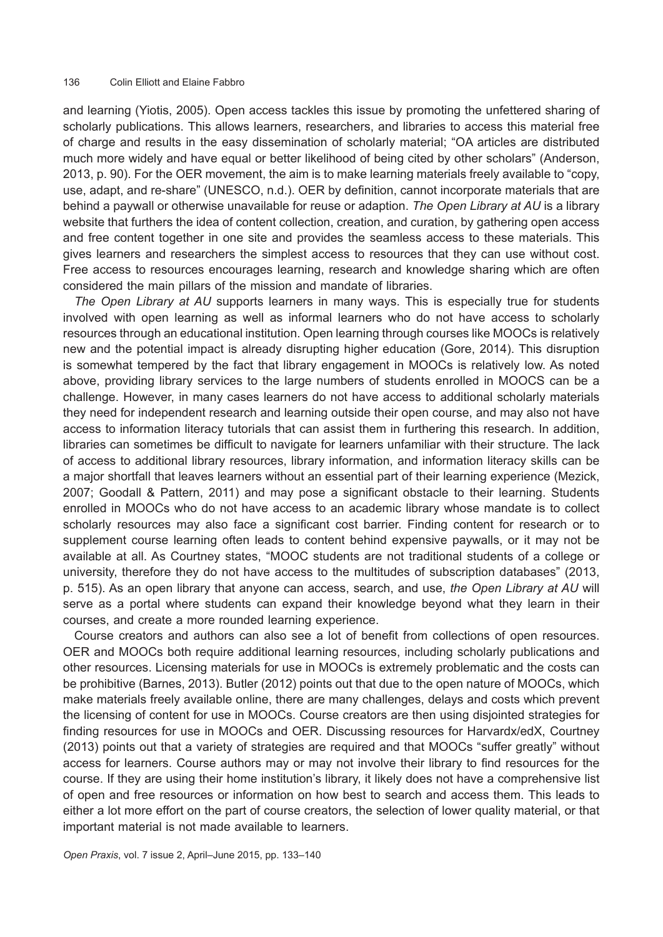and learning (Yiotis, 2005). Open access tackles this issue by promoting the unfettered sharing of scholarly publications. This allows learners, researchers, and libraries to access this material free of charge and results in the easy dissemination of scholarly material; "OA articles are distributed much more widely and have equal or better likelihood of being cited by other scholars" (Anderson, 2013, p. 90). For the OER movement, the aim is to make learning materials freely available to "copy, use, adapt, and re-share" (UNESCO, n.d.). OER by definition, cannot incorporate materials that are behind a paywall or otherwise unavailable for reuse or adaption. *The Open Library at AU* is a library website that furthers the idea of content collection, creation, and curation, by gathering open access and free content together in one site and provides the seamless access to these materials. This gives learners and researchers the simplest access to resources that they can use without cost. Free access to resources encourages learning, research and knowledge sharing which are often considered the main pillars of the mission and mandate of libraries.

*The Open Library at AU* supports learners in many ways. This is especially true for students involved with open learning as well as informal learners who do not have access to scholarly resources through an educational institution. Open learning through courses like MOOCs is relatively new and the potential impact is already disrupting higher education (Gore, 2014). This disruption is somewhat tempered by the fact that library engagement in MOOCs is relatively low. As noted above, providing library services to the large numbers of students enrolled in MOOCS can be a challenge. However, in many cases learners do not have access to additional scholarly materials they need for independent research and learning outside their open course, and may also not have access to information literacy tutorials that can assist them in furthering this research. In addition, libraries can sometimes be difficult to navigate for learners unfamiliar with their structure. The lack of access to additional library resources, library information, and information literacy skills can be a major shortfall that leaves learners without an essential part of their learning experience (Mezick, 2007; Goodall & Pattern, 2011) and may pose a significant obstacle to their learning. Students enrolled in MOOCs who do not have access to an academic library whose mandate is to collect scholarly resources may also face a significant cost barrier. Finding content for research or to supplement course learning often leads to content behind expensive paywalls, or it may not be available at all. As Courtney states, "MOOC students are not traditional students of a college or university, therefore they do not have access to the multitudes of subscription databases" (2013, p. 515). As an open library that anyone can access, search, and use, *the Open Library at AU* will serve as a portal where students can expand their knowledge beyond what they learn in their courses, and create a more rounded learning experience.

Course creators and authors can also see a lot of benefit from collections of open resources. OER and MOOCs both require additional learning resources, including scholarly publications and other resources. Licensing materials for use in MOOCs is extremely problematic and the costs can be prohibitive (Barnes, 2013). Butler (2012) points out that due to the open nature of MOOCs, which make materials freely available online, there are many challenges, delays and costs which prevent the licensing of content for use in MOOCs. Course creators are then using disjointed strategies for finding resources for use in MOOCs and OER. Discussing resources for Harvardx/edX, Courtney (2013) points out that a variety of strategies are required and that MOOCs "suffer greatly" without access for learners. Course authors may or may not involve their library to find resources for the course. If they are using their home institution's library, it likely does not have a comprehensive list of open and free resources or information on how best to search and access them. This leads to either a lot more effort on the part of course creators, the selection of lower quality material, or that important material is not made available to learners.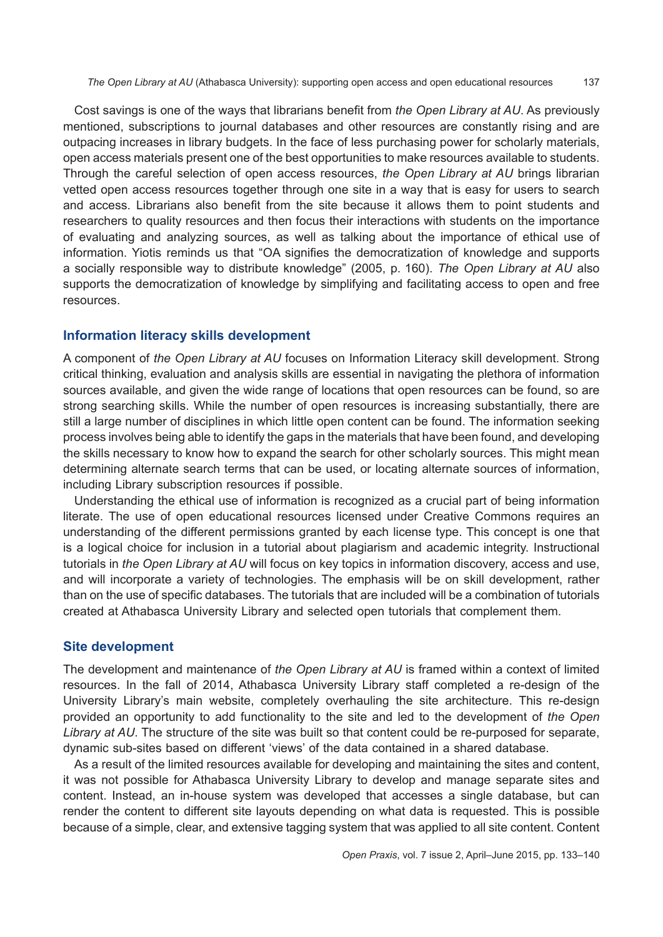Cost savings is one of the ways that librarians benefit from *the Open Library at AU*. As previously mentioned, subscriptions to journal databases and other resources are constantly rising and are outpacing increases in library budgets. In the face of less purchasing power for scholarly materials, open access materials present one of the best opportunities to make resources available to students. Through the careful selection of open access resources, *the Open Library at AU* brings librarian vetted open access resources together through one site in a way that is easy for users to search and access. Librarians also benefit from the site because it allows them to point students and researchers to quality resources and then focus their interactions with students on the importance of evaluating and analyzing sources, as well as talking about the importance of ethical use of information. Yiotis reminds us that "OA signifies the democratization of knowledge and supports a socially responsible way to distribute knowledge" (2005, p. 160). *The Open Library at AU* also supports the democratization of knowledge by simplifying and facilitating access to open and free resources.

# **Information literacy skills development**

A component of *the Open Library at AU* focuses on Information Literacy skill development. Strong critical thinking, evaluation and analysis skills are essential in navigating the plethora of information sources available, and given the wide range of locations that open resources can be found, so are strong searching skills. While the number of open resources is increasing substantially, there are still a large number of disciplines in which little open content can be found. The information seeking process involves being able to identify the gaps in the materials that have been found, and developing the skills necessary to know how to expand the search for other scholarly sources. This might mean determining alternate search terms that can be used, or locating alternate sources of information, including Library subscription resources if possible.

Understanding the ethical use of information is recognized as a crucial part of being information literate. The use of open educational resources licensed under Creative Commons requires an understanding of the different permissions granted by each license type. This concept is one that is a logical choice for inclusion in a tutorial about plagiarism and academic integrity. Instructional tutorials in *the Open Library at AU* will focus on key topics in information discovery, access and use, and will incorporate a variety of technologies. The emphasis will be on skill development, rather than on the use of specific databases. The tutorials that are included will be a combination of tutorials created at Athabasca University Library and selected open tutorials that complement them.

## **Site development**

The development and maintenance of *the Open Library at AU* is framed within a context of limited resources. In the fall of 2014, Athabasca University Library staff completed a re-design of the University Library's main website, completely overhauling the site architecture. This re-design provided an opportunity to add functionality to the site and led to the development of *the Open Library at AU*. The structure of the site was built so that content could be re-purposed for separate, dynamic sub-sites based on different 'views' of the data contained in a shared database.

As a result of the limited resources available for developing and maintaining the sites and content, it was not possible for Athabasca University Library to develop and manage separate sites and content. Instead, an in-house system was developed that accesses a single database, but can render the content to different site layouts depending on what data is requested. This is possible because of a simple, clear, and extensive tagging system that was applied to all site content. Content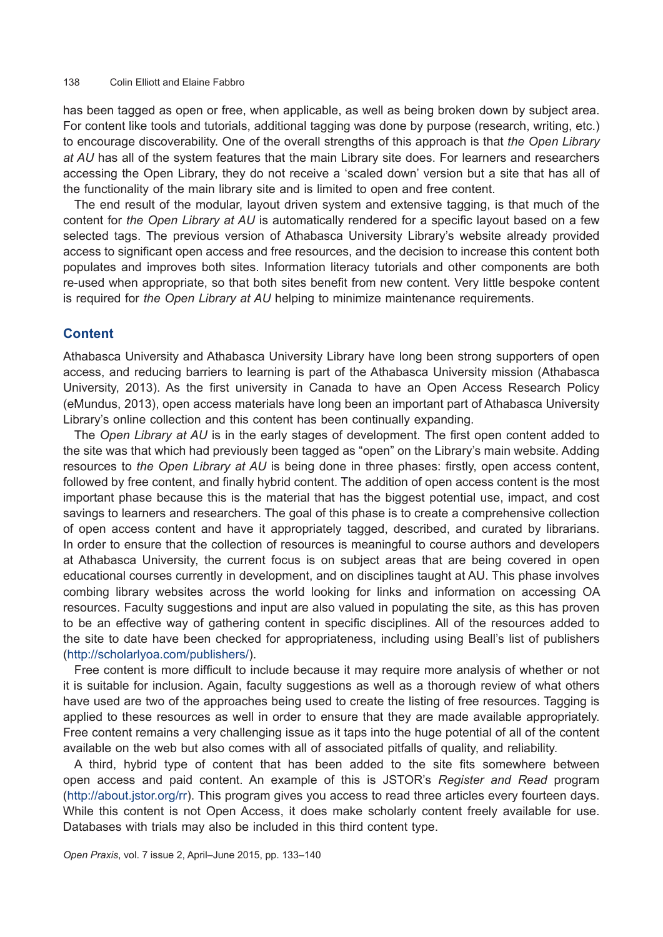has been tagged as open or free, when applicable, as well as being broken down by subject area. For content like tools and tutorials, additional tagging was done by purpose (research, writing, etc.) to encourage discoverability. One of the overall strengths of this approach is that *the Open Library at AU* has all of the system features that the main Library site does. For learners and researchers accessing the Open Library, they do not receive a 'scaled down' version but a site that has all of the functionality of the main library site and is limited to open and free content.

The end result of the modular, layout driven system and extensive tagging, is that much of the content for *the Open Library at AU* is automatically rendered for a specific layout based on a few selected tags. The previous version of Athabasca University Library's website already provided access to significant open access and free resources, and the decision to increase this content both populates and improves both sites. Information literacy tutorials and other components are both re-used when appropriate, so that both sites benefit from new content. Very little bespoke content is required for *the Open Library at AU* helping to minimize maintenance requirements.

#### **Content**

Athabasca University and Athabasca University Library have long been strong supporters of open access, and reducing barriers to learning is part of the Athabasca University mission (Athabasca University, 2013). As the first university in Canada to have an Open Access Research Policy (eMundus, 2013), open access materials have long been an important part of Athabasca University Library's online collection and this content has been continually expanding.

The *Open Library at AU* is in the early stages of development. The first open content added to the site was that which had previously been tagged as "open" on the Library's main website. Adding resources to *the Open Library at AU* is being done in three phases: firstly, open access content, followed by free content, and finally hybrid content. The addition of open access content is the most important phase because this is the material that has the biggest potential use, impact, and cost savings to learners and researchers. The goal of this phase is to create a comprehensive collection of open access content and have it appropriately tagged, described, and curated by librarians. In order to ensure that the collection of resources is meaningful to course authors and developers at Athabasca University, the current focus is on subject areas that are being covered in open educational courses currently in development, and on disciplines taught at AU. This phase involves combing library websites across the world looking for links and information on accessing OA resources. Faculty suggestions and input are also valued in populating the site, as this has proven to be an effective way of gathering content in specific disciplines. All of the resources added to the site to date have been checked for appropriateness, including using Beall's list of publishers [\(http://scholarlyoa.com/publishers/\)](http://scholarlyoa.com/publishers/).

Free content is more difficult to include because it may require more analysis of whether or not it is suitable for inclusion. Again, faculty suggestions as well as a thorough review of what others have used are two of the approaches being used to create the listing of free resources. Tagging is applied to these resources as well in order to ensure that they are made available appropriately. Free content remains a very challenging issue as it taps into the huge potential of all of the content available on the web but also comes with all of associated pitfalls of quality, and reliability.

A third, hybrid type of content that has been added to the site fits somewhere between open access and paid content. An example of this is JSTOR's *Register and Read* program [\(http://about.jstor.org/rr\)](http://about.jstor.org/rr). This program gives you access to read three articles every fourteen days. While this content is not Open Access, it does make scholarly content freely available for use. Databases with trials may also be included in this third content type.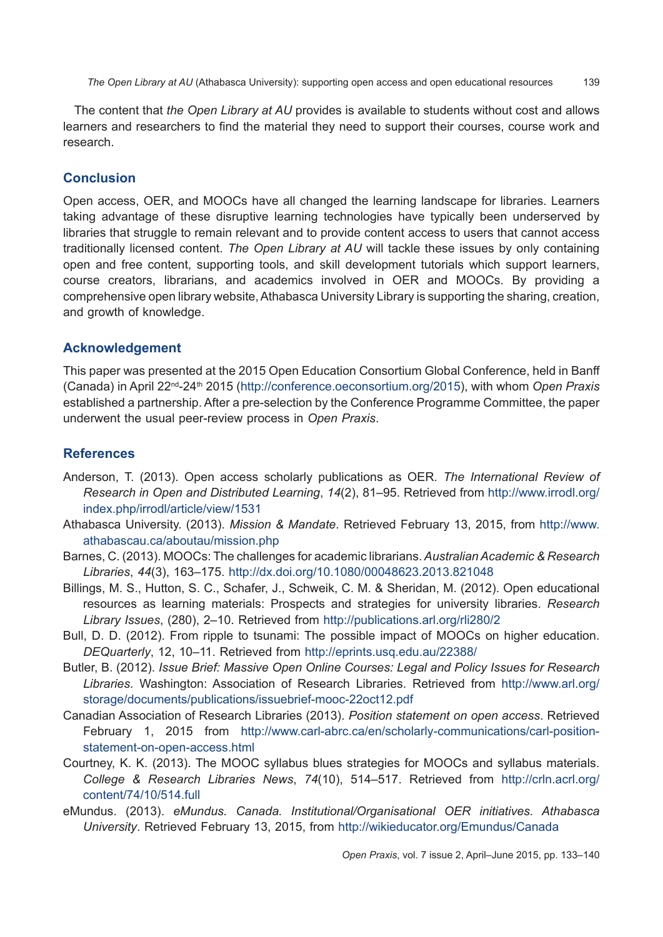The content that *the Open Library at AU* provides is available to students without cost and allows learners and researchers to find the material they need to support their courses, course work and research.

# **Conclusion**

Open access, OER, and MOOCs have all changed the learning landscape for libraries. Learners taking advantage of these disruptive learning technologies have typically been underserved by libraries that struggle to remain relevant and to provide content access to users that cannot access traditionally licensed content. *The Open Library at AU* will tackle these issues by only containing open and free content, supporting tools, and skill development tutorials which support learners, course creators, librarians, and academics involved in OER and MOOCs. By providing a comprehensive open library website, Athabasca University Library is supporting the sharing, creation, and growth of knowledge.

## **Acknowledgement**

This paper was presented at the 2015 Open Education Consortium Global Conference, held in Banff (Canada) in April 22nd-24th 2015 [\(http://conference.oeconsortium.org/2015\)](http://conference.oeconsortium.org/2015), with whom *Open Praxis* established a partnership. After a pre-selection by the Conference Programme Committee, the paper underwent the usual peer-review process in *Open Praxis*.

# **References**

- Anderson, T. (2013). Open access scholarly publications as OER. *The International Review of Research in Open and Distributed Learning*, *14*(2), 81–95. Retrieved from [http://www.irrodl.org/](http://www.irrodl.org/index.php/irrodl/article/view/1531) [index.php/irrodl/article/view/1531](http://www.irrodl.org/index.php/irrodl/article/view/1531)
- Athabasca University. (2013). *Mission & Mandate*. Retrieved February 13, 2015, from [http://www.](http://www.athabascau.ca/aboutau/mission.php) [athabascau.ca/aboutau/mission.php](http://www.athabascau.ca/aboutau/mission.php)
- Barnes, C. (2013). MOOCs: The challenges for academic librarians. *Australian Academic & Research Libraries*, *44*(3), 163–175. <http://dx.doi.org/10.1080/00048623.2013.821048>
- Billings, M. S., Hutton, S. C., Schafer, J., Schweik, C. M. & Sheridan, M. (2012). Open educational resources as learning materials: Prospects and strategies for university libraries. *Research Library Issues*, (280), 2–10. Retrieved from <http://publications.arl.org/rli280/2>
- Bull, D. D. (2012). From ripple to tsunami: The possible impact of MOOCs on higher education. *DEQuarterly*, 12, 10–11. Retrieved from <http://eprints.usq.edu.au/22388/>
- Butler, B. (2012). *Issue Brief: Massive Open Online Courses: Legal and Policy Issues for Research Libraries*. Washington: Association of Research Libraries. Retrieved from [http://www.arl.org/](http://www.arl.org/storage/documents/publications/issuebrief-mooc-22oct12.pdf) [storage/documents/publications/issuebrief-mooc-22oct12.pdf](http://www.arl.org/storage/documents/publications/issuebrief-mooc-22oct12.pdf)
- Canadian Association of Research Libraries (2013). *Position statement on open access*. Retrieved February 1, 2015 from [http://www.carl-abrc.ca/en/scholarly-communications/carl-position](http://www.carl-abrc.ca/en/scholarly-communications/carl-position-statement-on-open-access.html)[statement-on-open-access.html](http://www.carl-abrc.ca/en/scholarly-communications/carl-position-statement-on-open-access.html)
- Courtney, K. K. (2013). The MOOC syllabus blues strategies for MOOCs and syllabus materials. *College & Research Libraries News*, *74*(10), 514–517. Retrieved from [http://crln.acrl.org/](http://crln.acrl.org/content/74/10/514.full) [content/74/10/514.full](http://crln.acrl.org/content/74/10/514.full)
- eMundus. (2013). *eMundus. Canada. Institutional/Organisational OER initiatives. Athabasca University*. Retrieved February 13, 2015, from <http://wikieducator.org/Emundus/Canada>